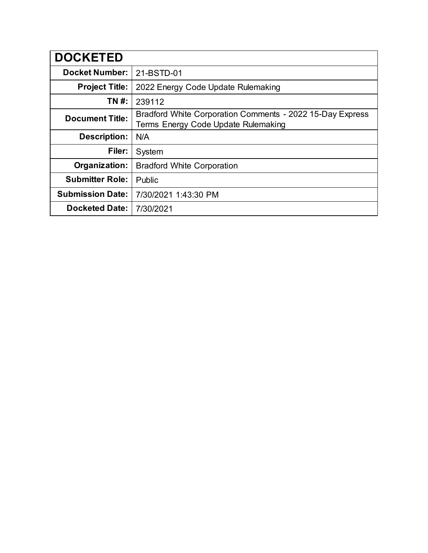| <b>DOCKETED</b>         |                                                                                                  |
|-------------------------|--------------------------------------------------------------------------------------------------|
| <b>Docket Number:</b>   | 21-BSTD-01                                                                                       |
| <b>Project Title:</b>   | 2022 Energy Code Update Rulemaking                                                               |
| TN #:                   | 239112                                                                                           |
| <b>Document Title:</b>  | Bradford White Corporation Comments - 2022 15-Day Express<br>Terms Energy Code Update Rulemaking |
| <b>Description:</b>     | N/A                                                                                              |
| Filer:                  | System                                                                                           |
| Organization:           | <b>Bradford White Corporation</b>                                                                |
| <b>Submitter Role:</b>  | Public                                                                                           |
| <b>Submission Date:</b> | 7/30/2021 1:43:30 PM                                                                             |
| <b>Docketed Date:</b>   | 7/30/2021                                                                                        |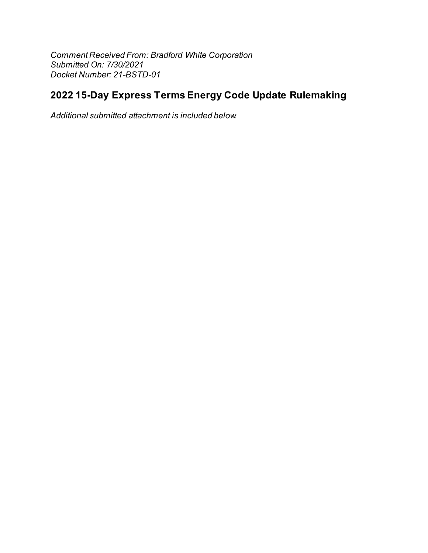Comment Received From: Bradford White Corporation Submitted On: 7/30/2021 Docket Number: 21-BSTD-01

# 2022 15-Day Express Terms Energy Code Update Rulemaking

Additional submitted attachment is included below.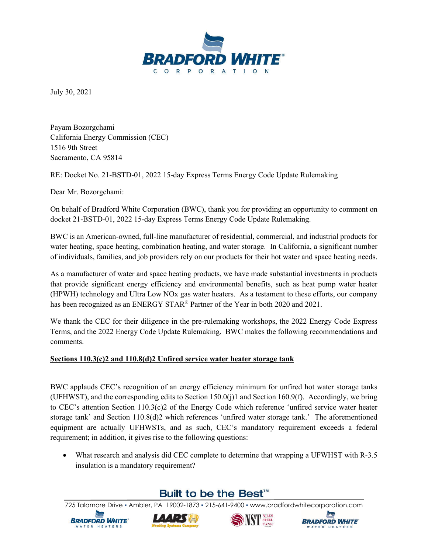

July 30, 2021

Payam Bozorgchami California Energy Commission (CEC) 1516 9th Street Sacramento, CA 95814

RE: Docket No. 21-BSTD-01, 2022 15-day Express Terms Energy Code Update Rulemaking

Dear Mr. Bozorgchami:

On behalf of Bradford White Corporation (BWC), thank you for providing an opportunity to comment on docket 21-BSTD-01, 2022 15-day Express Terms Energy Code Update Rulemaking.

BWC is an American-owned, full-line manufacturer of residential, commercial, and industrial products for water heating, space heating, combination heating, and water storage. In California, a significant number of individuals, families, and job providers rely on our products for their hot water and space heating needs.

As a manufacturer of water and space heating products, we have made substantial investments in products that provide significant energy efficiency and environmental benefits, such as heat pump water heater (HPWH) technology and Ultra Low NOx gas water heaters. As a testament to these efforts, our company has been recognized as an ENERGY STAR<sup>®</sup> Partner of the Year in both 2020 and 2021.

We thank the CEC for their diligence in the pre-rulemaking workshops, the 2022 Energy Code Express Terms, and the 2022 Energy Code Update Rulemaking. BWC makes the following recommendations and comments.

#### **Sections 110.3(c)2 and 110.8(d)2 Unfired service water heater storage tank**

BWC applauds CEC's recognition of an energy efficiency minimum for unfired hot water storage tanks (UFHWST), and the corresponding edits to Section 150.0(j)1 and Section 160.9(f). Accordingly, we bring to CEC's attention Section 110.3(c)2 of the Energy Code which reference 'unfired service water heater storage tank' and Section 110.8(d)2 which references 'unfired water storage tank.' The aforementioned equipment are actually UFHWSTs, and as such, CEC's mandatory requirement exceeds a federal requirement; in addition, it gives rise to the following questions:

 What research and analysis did CEC complete to determine that wrapping a UFWHST with R-3.5 insulation is a mandatory requirement?

## Built to be the Best<sup>™</sup>







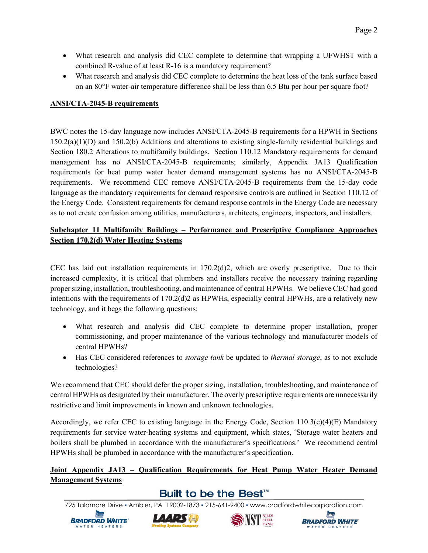- What research and analysis did CEC complete to determine that wrapping a UFWHST with a combined R-value of at least R-16 is a mandatory requirement?
- What research and analysis did CEC complete to determine the heat loss of the tank surface based on an 80°F water-air temperature difference shall be less than 6.5 Btu per hour per square foot?

#### **ANSI/CTA-2045-B requirements**

BWC notes the 15-day language now includes ANSI/CTA-2045-B requirements for a HPWH in Sections 150.2(a)(1)(D) and 150.2(b) Additions and alterations to existing single-family residential buildings and Section 180.2 Alterations to multifamily buildings. Section 110.12 Mandatory requirements for demand management has no ANSI/CTA-2045-B requirements; similarly, Appendix JA13 Qualification requirements for heat pump water heater demand management systems has no ANSI/CTA-2045-B requirements. We recommend CEC remove ANSI/CTA-2045-B requirements from the 15-day code language as the mandatory requirements for demand responsive controls are outlined in Section 110.12 of the Energy Code. Consistent requirements for demand response controls in the Energy Code are necessary as to not create confusion among utilities, manufacturers, architects, engineers, inspectors, and installers.

#### **Subchapter 11 Multifamily Buildings – Performance and Prescriptive Compliance Approaches Section 170.2(d) Water Heating Systems**

CEC has laid out installation requirements in 170.2(d)2, which are overly prescriptive. Due to their increased complexity, it is critical that plumbers and installers receive the necessary training regarding proper sizing, installation, troubleshooting, and maintenance of central HPWHs. We believe CEC had good intentions with the requirements of 170.2(d)2 as HPWHs, especially central HPWHs, are a relatively new technology, and it begs the following questions:

- What research and analysis did CEC complete to determine proper installation, proper commissioning, and proper maintenance of the various technology and manufacturer models of central HPWHs?
- Has CEC considered references to *storage tank* be updated to *thermal storage*, as to not exclude technologies?

We recommend that CEC should defer the proper sizing, installation, troubleshooting, and maintenance of central HPWHs as designated by their manufacturer. The overly prescriptive requirements are unnecessarily restrictive and limit improvements in known and unknown technologies.

Accordingly, we refer CEC to existing language in the Energy Code, Section  $110.3(c)(4)(E)$  Mandatory requirements for service water-heating systems and equipment, which states, 'Storage water heaters and boilers shall be plumbed in accordance with the manufacturer's specifications.' We recommend central HPWHs shall be plumbed in accordance with the manufacturer's specification.

### **Joint Appendix JA13 – Qualification Requirements for Heat Pump Water Heater Demand Management Systems**

## Built to be the Best<sup>™</sup>







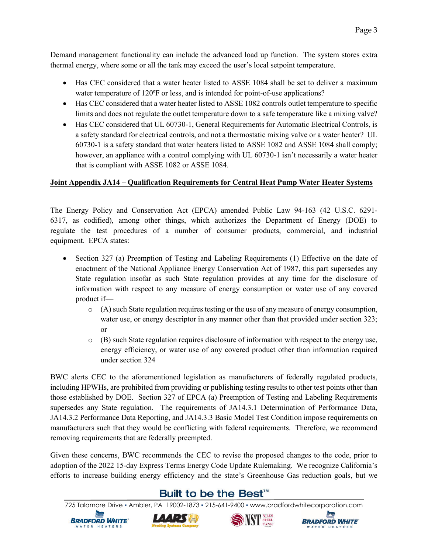Demand management functionality can include the advanced load up function. The system stores extra thermal energy, where some or all the tank may exceed the user's local setpoint temperature.

- Has CEC considered that a water heater listed to ASSE 1084 shall be set to deliver a maximum water temperature of 120°F or less, and is intended for point-of-use applications?
- Has CEC considered that a water heater listed to ASSE 1082 controls outlet temperature to specific limits and does not regulate the outlet temperature down to a safe temperature like a mixing valve?
- Has CEC considered that UL 60730-1, General Requirements for Automatic Electrical Controls, is a safety standard for electrical controls, and not a thermostatic mixing valve or a water heater? UL 60730-1 is a safety standard that water heaters listed to ASSE 1082 and ASSE 1084 shall comply; however, an appliance with a control complying with UL 60730-1 isn't necessarily a water heater that is compliant with ASSE 1082 or ASSE 1084.

#### **Joint Appendix JA14 – Qualification Requirements for Central Heat Pump Water Heater Systems**

The Energy Policy and Conservation Act (EPCA) amended Public Law 94-163 (42 U.S.C. 6291- 6317, as codified), among other things, which authorizes the Department of Energy (DOE) to regulate the test procedures of a number of consumer products, commercial, and industrial equipment. EPCA states:

- Section 327 (a) Preemption of Testing and Labeling Requirements (1) Effective on the date of enactment of the National Appliance Energy Conservation Act of 1987, this part supersedes any State regulation insofar as such State regulation provides at any time for the disclosure of information with respect to any measure of energy consumption or water use of any covered product if—
	- $\circ$  (A) such State regulation requires testing or the use of any measure of energy consumption, water use, or energy descriptor in any manner other than that provided under section 323; or
	- $\circ$  (B) such State regulation requires disclosure of information with respect to the energy use, energy efficiency, or water use of any covered product other than information required under section 324

BWC alerts CEC to the aforementioned legislation as manufacturers of federally regulated products, including HPWHs, are prohibited from providing or publishing testing results to other test points other than those established by DOE. Section 327 of EPCA (a) Preemption of Testing and Labeling Requirements supersedes any State regulation. The requirements of JA14.3.1 Determination of Performance Data, JA14.3.2 Performance Data Reporting, and JA14.3.3 Basic Model Test Condition impose requirements on manufacturers such that they would be conflicting with federal requirements. Therefore, we recommend removing requirements that are federally preempted.

Given these concerns, BWC recommends the CEC to revise the proposed changes to the code, prior to adoption of the 2022 15-day Express Terms Energy Code Update Rulemaking. We recognize California's efforts to increase building energy efficiency and the state's Greenhouse Gas reduction goals, but we

## Built to be the Best<sup>™</sup>